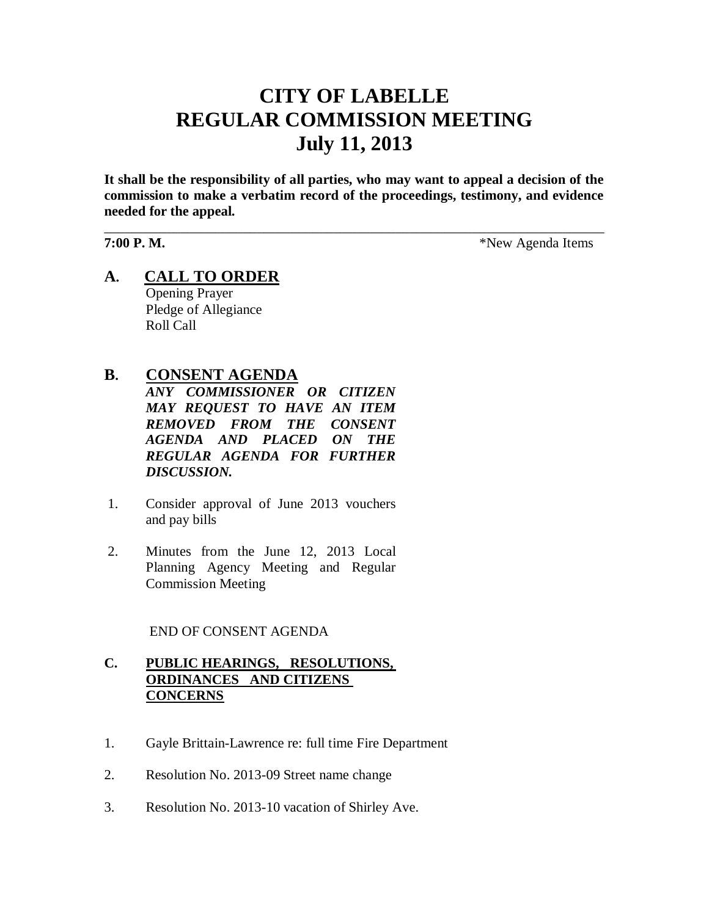# **CITY OF LABELLE REGULAR COMMISSION MEETING July 11, 2013**

**It shall be the responsibility of all parties, who may want to appeal a decision of the commission to make a verbatim record of the proceedings, testimony, and evidence needed for the appeal.**

\_\_\_\_\_\_\_\_\_\_\_\_\_\_\_\_\_\_\_\_\_\_\_\_\_\_\_\_\_\_\_\_\_\_\_\_\_\_\_\_\_\_\_\_\_\_\_\_\_\_\_\_\_\_\_\_\_\_\_\_\_\_\_\_\_\_\_\_\_\_\_\_

**7:00 P. M.**  $*$ New Agenda Items

**A. CALL TO ORDER** Opening Prayer Pledge of Allegiance Roll Call

# **B. CONSENT AGENDA**

*ANY COMMISSIONER OR CITIZEN MAY REQUEST TO HAVE AN ITEM REMOVED FROM THE CONSENT AGENDA AND PLACED ON THE REGULAR AGENDA FOR FURTHER DISCUSSION.*

- 1. Consider approval of June 2013 vouchers and pay bills
- 2. Minutes from the June 12, 2013 Local Planning Agency Meeting and Regular Commission Meeting

END OF CONSENT AGENDA

# **C. PUBLIC HEARINGS, RESOLUTIONS, ORDINANCES AND CITIZENS CONCERNS**

- 1. Gayle Brittain-Lawrence re: full time Fire Department
- 2. Resolution No. 2013-09 Street name change
- 3. Resolution No. 2013-10 vacation of Shirley Ave.